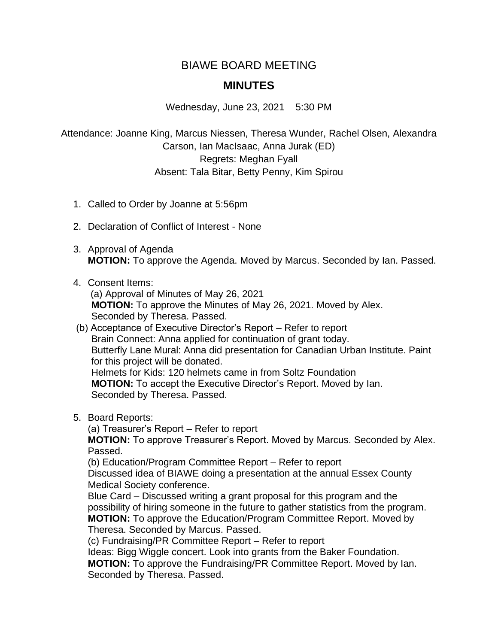## BIAWE BOARD MEETING

## **MINUTES**

Wednesday, June 23, 2021 5:30 PM

Attendance: Joanne King, Marcus Niessen, Theresa Wunder, Rachel Olsen, Alexandra Carson, Ian MacIsaac, Anna Jurak (ED) Regrets: Meghan Fyall Absent: Tala Bitar, Betty Penny, Kim Spirou

- 1. Called to Order by Joanne at 5:56pm
- 2. Declaration of Conflict of Interest None
- 3. Approval of Agenda **MOTION:** To approve the Agenda. Moved by Marcus. Seconded by Ian. Passed.
- 4. Consent Items:

(a) Approval of Minutes of May 26, 2021 **MOTION:** To approve the Minutes of May 26, 2021. Moved by Alex. Seconded by Theresa. Passed.

- (b) Acceptance of Executive Director's Report Refer to report Brain Connect: Anna applied for continuation of grant today. Butterfly Lane Mural: Anna did presentation for Canadian Urban Institute. Paint for this project will be donated. Helmets for Kids: 120 helmets came in from Soltz Foundation **MOTION:** To accept the Executive Director's Report. Moved by Ian. Seconded by Theresa. Passed.
- 5. Board Reports:

(a) Treasurer's Report – Refer to report

**MOTION:** To approve Treasurer's Report. Moved by Marcus. Seconded by Alex. Passed.

(b) Education/Program Committee Report – Refer to report

Discussed idea of BIAWE doing a presentation at the annual Essex County Medical Society conference.

Blue Card – Discussed writing a grant proposal for this program and the possibility of hiring someone in the future to gather statistics from the program. **MOTION:** To approve the Education/Program Committee Report. Moved by Theresa. Seconded by Marcus. Passed.

(c) Fundraising/PR Committee Report – Refer to report

Ideas: Bigg Wiggle concert. Look into grants from the Baker Foundation. **MOTION:** To approve the Fundraising/PR Committee Report. Moved by Ian. Seconded by Theresa. Passed.